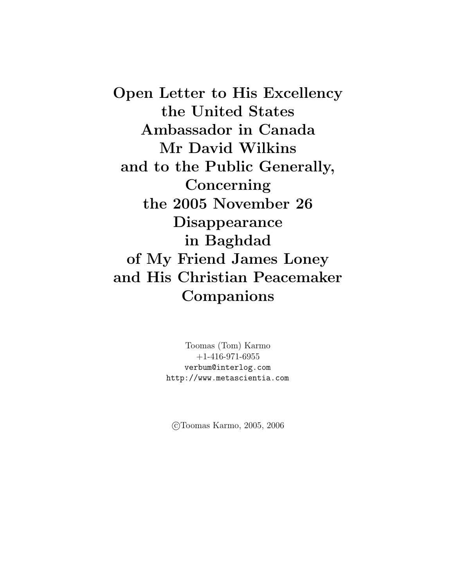Open Letter to His Excellency the United States Ambassador in Canada Mr David Wilkins and to the Public Generally, Concerning the 2005 November 26 Disappearance in Baghdad of My Friend James Loney and His Christian Peacemaker Companions

> Toomas (Tom) Karmo +1-416-971-6955 verbum@interlog.com http://www.metascientia.com

c Toomas Karmo, 2005, 2006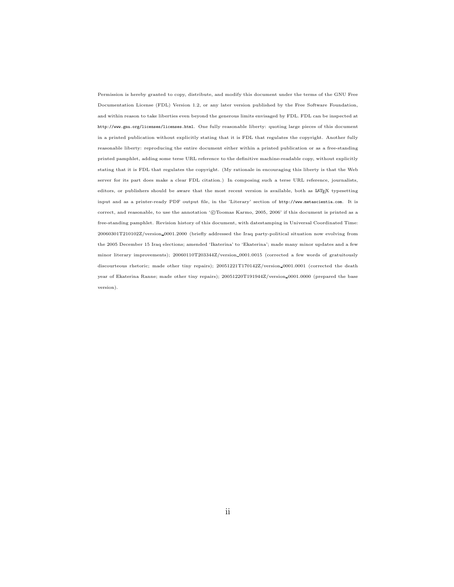Permission is hereby granted to copy, distribute, and modify this document under the terms of the GNU Free Documentation License (FDL) Version 1.2, or any later version published by the Free Software Foundation, and within reason to take liberties even beyond the generous limits envisaged by FDL. FDL can be inspected at http://www.gnu.org/licenses/licenses.html. One fully reasonable liberty: quoting large pieces of this document in a printed publication without explicitly stating that it is FDL that regulates the copyright. Another fully reasonable liberty: reproducing the entire document either within a printed publication or as a free-standing printed pamphlet, adding some terse URL reference to the definitive machine-readable copy, without explicitly stating that it is FDL that regulates the copyright. (My rationale in encouraging this liberty is that the Web server for its part does make a clear FDL citation.) In composing such a terse URL reference, journalists, editors, or publishers should be aware that the most recent version is available, both as L<sup>A</sup>TEX typesetting input and as a printer-ready PDF output file, in the 'Literary' section of http://www.metascientia.com. It is correct, and reasonable, to use the annotation '©Toomas Karmo, 2005, 2006' if this document is printed as a free-standing pamphlet. Revision history of this document, with datestamping in Universal Coordinated Time: 20060301T210102Z/version 0001.2000 (briefly addressed the Iraq party-political situation now evolving from the 2005 December 15 Iraq elections; amended 'Ikaterina' to 'Ekaterina'; made many minor updates and a few minor literary improvements); 20060110T203344Z/version 0001.0015 (corrected a few words of gratuitously discourteous rhetoric; made other tiny repairs); 20051221T170142Z/version 0001.0001 (corrected the death year of Ekaterina Ranne; made other tiny repairs); 20051220T191944Z/version 0001.0000 (prepared the base version).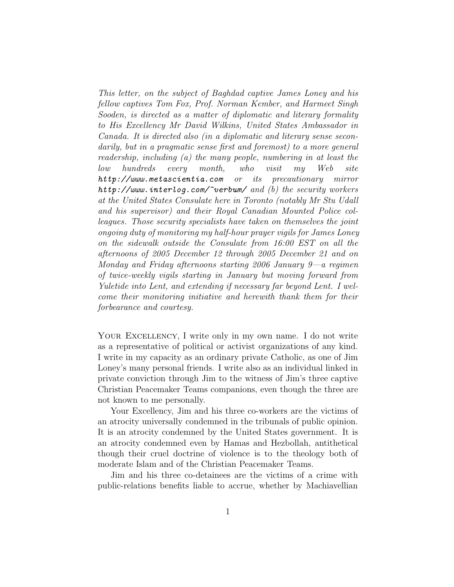This letter, on the subject of Baghdad captive James Loney and his fellow captives Tom Fox, Prof. Norman Kember, and Harmeet Singh Sooden, is directed as a matter of diplomatic and literary formality to His Excellency Mr David Wilkins, United States Ambassador in Canada. It is directed also (in a diplomatic and literary sense secondarily, but in a pragmatic sense first and foremost) to a more general readership, including (a) the many people, numbering in at least the low hundreds every month, who visit my Web site http://www.metascientia.com or its precautionary mirror  $http://www.interlog.com/~verbum/ and (b) the security workers$ at the United States Consulate here in Toronto (notably Mr Stu Udall and his supervisor) and their Royal Canadian Mounted Police colleagues. Those security specialists have taken on themselves the joint ongoing duty of monitoring my half-hour prayer vigils for James Loney on the sidewalk outside the Consulate from 16:00 EST on all the afternoons of 2005 December 12 through 2005 December 21 and on Monday and Friday afternoons starting 2006 January 9—a regimen of twice-weekly vigils starting in January but moving forward from Yuletide into Lent, and extending if necessary far beyond Lent. I welcome their monitoring initiative and herewith thank them for their forbearance and courtesy.

YOUR EXCELLENCY, I write only in my own name. I do not write as a representative of political or activist organizations of any kind. I write in my capacity as an ordinary private Catholic, as one of Jim Loney's many personal friends. I write also as an individual linked in private conviction through Jim to the witness of Jim's three captive Christian Peacemaker Teams companions, even though the three are not known to me personally.

Your Excellency, Jim and his three co-workers are the victims of an atrocity universally condemned in the tribunals of public opinion. It is an atrocity condemned by the United States government. It is an atrocity condemned even by Hamas and Hezbollah, antithetical though their cruel doctrine of violence is to the theology both of moderate Islam and of the Christian Peacemaker Teams.

Jim and his three co-detainees are the victims of a crime with public-relations benefits liable to accrue, whether by Machiavellian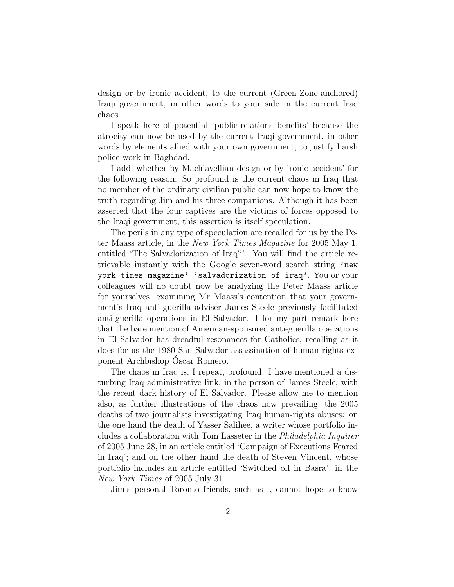design or by ironic accident, to the current (Green-Zone-anchored) Iraqi government, in other words to your side in the current Iraq chaos.

I speak here of potential 'public-relations benefits' because the atrocity can now be used by the current Iraqi government, in other words by elements allied with your own government, to justify harsh police work in Baghdad.

I add 'whether by Machiavellian design or by ironic accident' for the following reason: So profound is the current chaos in Iraq that no member of the ordinary civilian public can now hope to know the truth regarding Jim and his three companions. Although it has been asserted that the four captives are the victims of forces opposed to the Iraqi government, this assertion is itself speculation.

The perils in any type of speculation are recalled for us by the Peter Maass article, in the New York Times Magazine for 2005 May 1, entitled 'The Salvadorization of Iraq?'. You will find the article retrievable instantly with the Google seven-word search string 'new york times magazine' 'salvadorization of iraq'. You or your colleagues will no doubt now be analyzing the Peter Maass article for yourselves, examining Mr Maass's contention that your government's Iraq anti-guerilla adviser James Steele previously facilitated anti-guerilla operations in El Salvador. I for my part remark here that the bare mention of American-sponsored anti-guerilla operations in El Salvador has dreadful resonances for Catholics, recalling as it does for us the 1980 San Salvador assassination of human-rights exponent Archbishop Oscar Romero. ´

The chaos in Iraq is, I repeat, profound. I have mentioned a disturbing Iraq administrative link, in the person of James Steele, with the recent dark history of El Salvador. Please allow me to mention also, as further illustrations of the chaos now prevailing, the 2005 deaths of two journalists investigating Iraq human-rights abuses: on the one hand the death of Yasser Salihee, a writer whose portfolio includes a collaboration with Tom Lasseter in the Philadelphia Inquirer of 2005 June 28, in an article entitled 'Campaign of Executions Feared in Iraq'; and on the other hand the death of Steven Vincent, whose portfolio includes an article entitled 'Switched off in Basra', in the New York Times of 2005 July 31.

Jim's personal Toronto friends, such as I, cannot hope to know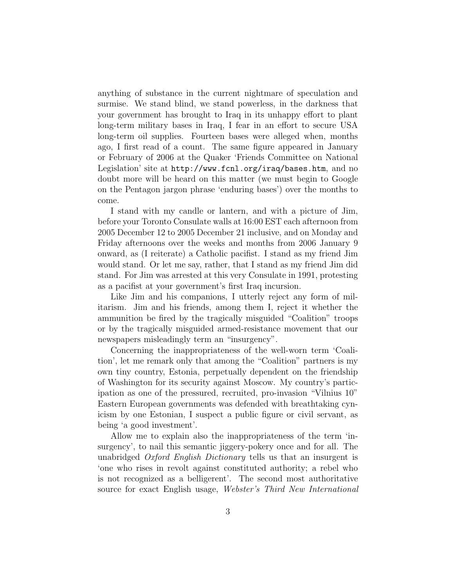anything of substance in the current nightmare of speculation and surmise. We stand blind, we stand powerless, in the darkness that your government has brought to Iraq in its unhappy effort to plant long-term military bases in Iraq, I fear in an effort to secure USA long-term oil supplies. Fourteen bases were alleged when, months ago, I first read of a count. The same figure appeared in January or February of 2006 at the Quaker 'Friends Committee on National Legislation' site at http://www.fcnl.org/iraq/bases.htm, and no doubt more will be heard on this matter (we must begin to Google on the Pentagon jargon phrase 'enduring bases') over the months to come.

I stand with my candle or lantern, and with a picture of Jim, before your Toronto Consulate walls at 16:00 EST each afternoon from 2005 December 12 to 2005 December 21 inclusive, and on Monday and Friday afternoons over the weeks and months from 2006 January 9 onward, as (I reiterate) a Catholic pacifist. I stand as my friend Jim would stand. Or let me say, rather, that I stand as my friend Jim did stand. For Jim was arrested at this very Consulate in 1991, protesting as a pacifist at your government's first Iraq incursion.

Like Jim and his companions, I utterly reject any form of militarism. Jim and his friends, among them I, reject it whether the ammunition be fired by the tragically misguided "Coalition" troops or by the tragically misguided armed-resistance movement that our newspapers misleadingly term an "insurgency".

Concerning the inappropriateness of the well-worn term 'Coalition', let me remark only that among the "Coalition" partners is my own tiny country, Estonia, perpetually dependent on the friendship of Washington for its security against Moscow. My country's participation as one of the pressured, recruited, pro-invasion "Vilnius 10" Eastern European governments was defended with breathtaking cynicism by one Estonian, I suspect a public figure or civil servant, as being 'a good investment'.

Allow me to explain also the inappropriateness of the term 'insurgency', to nail this semantic jiggery-pokery once and for all. The unabridged Oxford English Dictionary tells us that an insurgent is 'one who rises in revolt against constituted authority; a rebel who is not recognized as a belligerent'. The second most authoritative source for exact English usage, Webster's Third New International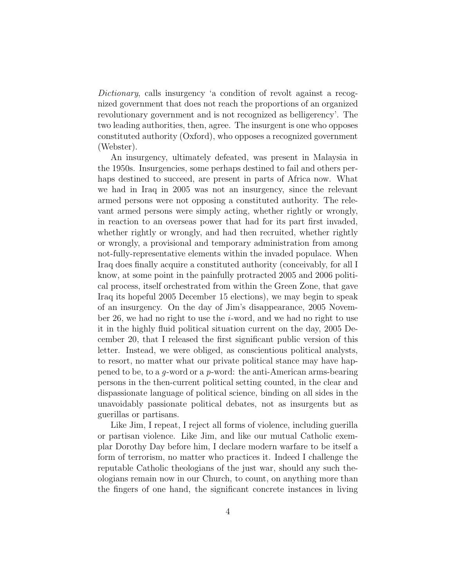Dictionary, calls insurgency 'a condition of revolt against a recognized government that does not reach the proportions of an organized revolutionary government and is not recognized as belligerency'. The two leading authorities, then, agree. The insurgent is one who opposes constituted authority (Oxford), who opposes a recognized government (Webster).

An insurgency, ultimately defeated, was present in Malaysia in the 1950s. Insurgencies, some perhaps destined to fail and others perhaps destined to succeed, are present in parts of Africa now. What we had in Iraq in 2005 was not an insurgency, since the relevant armed persons were not opposing a constituted authority. The relevant armed persons were simply acting, whether rightly or wrongly, in reaction to an overseas power that had for its part first invaded, whether rightly or wrongly, and had then recruited, whether rightly or wrongly, a provisional and temporary administration from among not-fully-representative elements within the invaded populace. When Iraq does finally acquire a constituted authority (conceivably, for all I know, at some point in the painfully protracted 2005 and 2006 political process, itself orchestrated from within the Green Zone, that gave Iraq its hopeful 2005 December 15 elections), we may begin to speak of an insurgency. On the day of Jim's disappearance, 2005 November 26, we had no right to use the  $i$ -word, and we had no right to use it in the highly fluid political situation current on the day, 2005 December 20, that I released the first significant public version of this letter. Instead, we were obliged, as conscientious political analysts, to resort, no matter what our private political stance may have happened to be, to a  $q$ -word or a  $p$ -word: the anti-American arms-bearing persons in the then-current political setting counted, in the clear and dispassionate language of political science, binding on all sides in the unavoidably passionate political debates, not as insurgents but as guerillas or partisans.

Like Jim, I repeat, I reject all forms of violence, including guerilla or partisan violence. Like Jim, and like our mutual Catholic exemplar Dorothy Day before him, I declare modern warfare to be itself a form of terrorism, no matter who practices it. Indeed I challenge the reputable Catholic theologians of the just war, should any such theologians remain now in our Church, to count, on anything more than the fingers of one hand, the significant concrete instances in living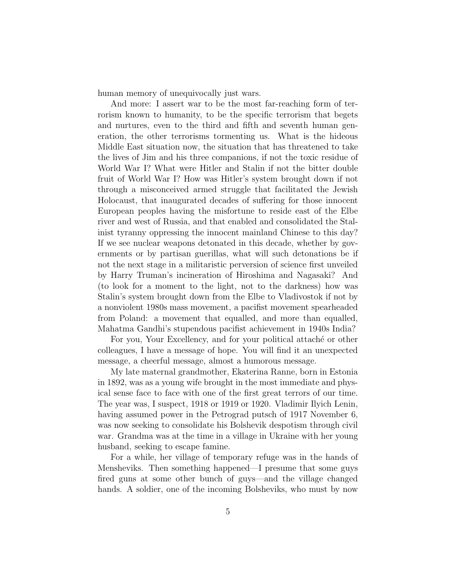human memory of unequivocally just wars.

And more: I assert war to be the most far-reaching form of terrorism known to humanity, to be the specific terrorism that begets and nurtures, even to the third and fifth and seventh human generation, the other terrorisms tormenting us. What is the hideous Middle East situation now, the situation that has threatened to take the lives of Jim and his three companions, if not the toxic residue of World War I? What were Hitler and Stalin if not the bitter double fruit of World War I? How was Hitler's system brought down if not through a misconceived armed struggle that facilitated the Jewish Holocaust, that inaugurated decades of suffering for those innocent European peoples having the misfortune to reside east of the Elbe river and west of Russia, and that enabled and consolidated the Stalinist tyranny oppressing the innocent mainland Chinese to this day? If we see nuclear weapons detonated in this decade, whether by governments or by partisan guerillas, what will such detonations be if not the next stage in a militaristic perversion of science first unveiled by Harry Truman's incineration of Hiroshima and Nagasaki? And (to look for a moment to the light, not to the darkness) how was Stalin's system brought down from the Elbe to Vladivostok if not by a nonviolent 1980s mass movement, a pacifist movement spearheaded from Poland: a movement that equalled, and more than equalled, Mahatma Gandhi's stupendous pacifist achievement in 1940s India?

For you, Your Excellency, and for your political attaches or other colleagues, I have a message of hope. You will find it an unexpected message, a cheerful message, almost a humorous message.

My late maternal grandmother, Ekaterina Ranne, born in Estonia in 1892, was as a young wife brought in the most immediate and physical sense face to face with one of the first great terrors of our time. The year was, I suspect, 1918 or 1919 or 1920. Vladimir Ilyich Lenin, having assumed power in the Petrograd putsch of 1917 November 6, was now seeking to consolidate his Bolshevik despotism through civil war. Grandma was at the time in a village in Ukraine with her young husband, seeking to escape famine.

For a while, her village of temporary refuge was in the hands of Mensheviks. Then something happened—I presume that some guys fired guns at some other bunch of guys—and the village changed hands. A soldier, one of the incoming Bolsheviks, who must by now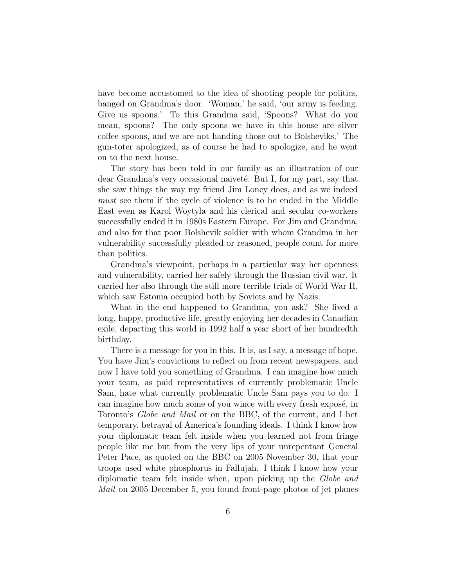have become accustomed to the idea of shooting people for politics, banged on Grandma's door. 'Woman,' he said, 'our army is feeding. Give us spoons.' To this Grandma said, 'Spoons? What do you mean, spoons? The only spoons we have in this house are silver coffee spoons, and we are not handing those out to Bolsheviks.' The gun-toter apologized, as of course he had to apologize, and he went on to the next house.

The story has been told in our family as an illustration of our dear Grandma's very occasional naiveté. But I, for my part, say that she saw things the way my friend Jim Loney does, and as we indeed must see them if the cycle of violence is to be ended in the Middle East even as Karol Woytyla and his clerical and secular co-workers successfully ended it in 1980s Eastern Europe. For Jim and Grandma, and also for that poor Bolshevik soldier with whom Grandma in her vulnerability successfully pleaded or reasoned, people count for more than politics.

Grandma's viewpoint, perhaps in a particular way her openness and vulnerability, carried her safely through the Russian civil war. It carried her also through the still more terrible trials of World War II, which saw Estonia occupied both by Soviets and by Nazis.

What in the end happened to Grandma, you ask? She lived a long, happy, productive life, greatly enjoying her decades in Canadian exile, departing this world in 1992 half a year short of her hundredth birthday.

There is a message for you in this. It is, as I say, a message of hope. You have Jim's convictions to reflect on from recent newspapers, and now I have told you something of Grandma. I can imagine how much your team, as paid representatives of currently problematic Uncle Sam, hate what currently problematic Uncle Sam pays you to do. I can imagine how much some of you wince with every fresh exposé, in Toronto's Globe and Mail or on the BBC, of the current, and I bet temporary, betrayal of America's founding ideals. I think I know how your diplomatic team felt inside when you learned not from fringe people like me but from the very lips of your unrepentant General Peter Pace, as quoted on the BBC on 2005 November 30, that your troops used white phosphorus in Fallujah. I think I know how your diplomatic team felt inside when, upon picking up the Globe and Mail on 2005 December 5, you found front-page photos of jet planes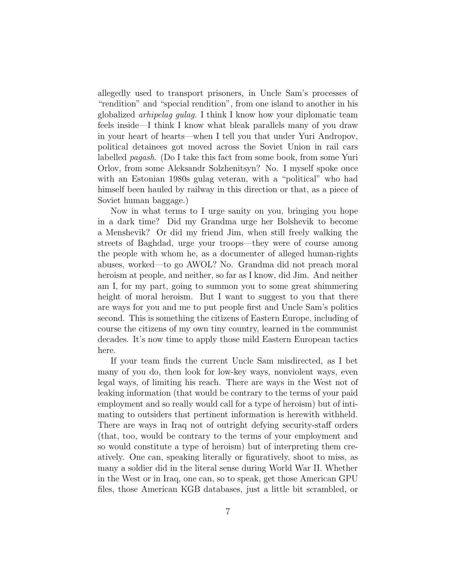allegedly used to transport prisoners, in Uncle Sam's processes of "rendition" and "special rendition", from one island to another in his globalized arhipelag gulag. I think I know how your diplomatic team feels inside—I think I know what bleak parallels many of you draw in your heart of hearts—when I tell you that under Yuri Andropov, political detainees got moved across the Soviet Union in rail cars labelled pagash. (Do I take this fact from some book, from some Yuri Orlov, from some Aleksandr Solzhenitsyn? No. I myself spoke once with an Estonian 1980s gulag veteran, with a "political" who had himself been hauled by railway in this direction or that, as a piece of Soviet human baggage.)

Now in what terms to I urge sanity on you, bringing you hope in a dark time? Did my Grandma urge her Bolshevik to become a Menshevik? Or did my friend Jim, when still freely walking the streets of Baghdad, urge your troops—they were of course among the people with whom he, as a documenter of alleged human-rights abuses, worked—to go AWOL? No. Grandma did not preach moral heroism at people, and neither, so far as I know, did Jim. And neither am I, for my part, going to summon you to some great shimmering height of moral heroism. But I want to suggest to you that there are ways for you and me to put people first and Uncle Sam's politics second. This is something the citizens of Eastern Europe, including of course the citizens of my own tiny country, learned in the communist decades. It's now time to apply those mild Eastern European tactics here.

If your team finds the current Uncle Sam misdirected, as I bet many of you do, then look for low-key ways, nonviolent ways, even legal ways, of limiting his reach. There are ways in the West not of leaking information (that would be contrary to the terms of your paid employment and so really would call for a type of heroism) but of intimating to outsiders that pertinent information is herewith withheld. There are ways in Iraq not of outright defying security-staff orders (that, too, would be contrary to the terms of your employment and so would constitute a type of heroism) but of interpreting them creatively. One can, speaking literally or figuratively, shoot to miss, as many a soldier did in the literal sense during World War II. Whether in the West or in Iraq, one can, so to speak, get those American GPU files, those American KGB databases, just a little bit scrambled, or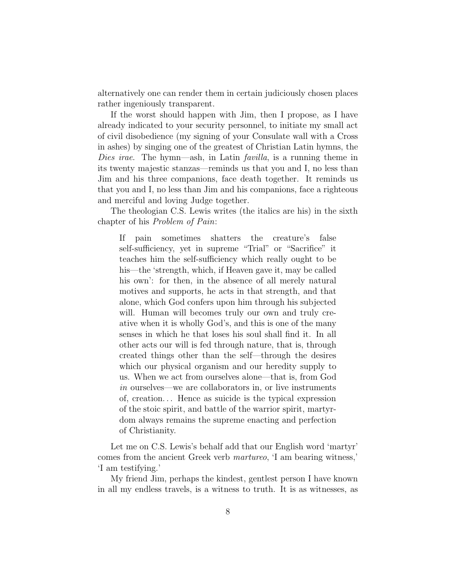alternatively one can render them in certain judiciously chosen places rather ingeniously transparent.

If the worst should happen with Jim, then I propose, as I have already indicated to your security personnel, to initiate my small act of civil disobedience (my signing of your Consulate wall with a Cross in ashes) by singing one of the greatest of Christian Latin hymns, the Dies irae. The hymn—ash, in Latin *favilla*, is a running theme in its twenty majestic stanzas—reminds us that you and I, no less than Jim and his three companions, face death together. It reminds us that you and I, no less than Jim and his companions, face a righteous and merciful and loving Judge together.

The theologian C.S. Lewis writes (the italics are his) in the sixth chapter of his Problem of Pain:

If pain sometimes shatters the creature's false self-sufficiency, yet in supreme "Trial" or "Sacrifice" it teaches him the self-sufficiency which really ought to be his—the 'strength, which, if Heaven gave it, may be called his own': for then, in the absence of all merely natural motives and supports, he acts in that strength, and that alone, which God confers upon him through his subjected will. Human will becomes truly our own and truly creative when it is wholly God's, and this is one of the many senses in which he that loses his soul shall find it. In all other acts our will is fed through nature, that is, through created things other than the self—through the desires which our physical organism and our heredity supply to us. When we act from ourselves alone—that is, from God in ourselves—we are collaborators in, or live instruments of, creation. . . Hence as suicide is the typical expression of the stoic spirit, and battle of the warrior spirit, martyrdom always remains the supreme enacting and perfection of Christianity.

Let me on C.S. Lewis's behalf add that our English word 'martyr' comes from the ancient Greek verb martureo, 'I am bearing witness,' 'I am testifying.'

My friend Jim, perhaps the kindest, gentlest person I have known in all my endless travels, is a witness to truth. It is as witnesses, as